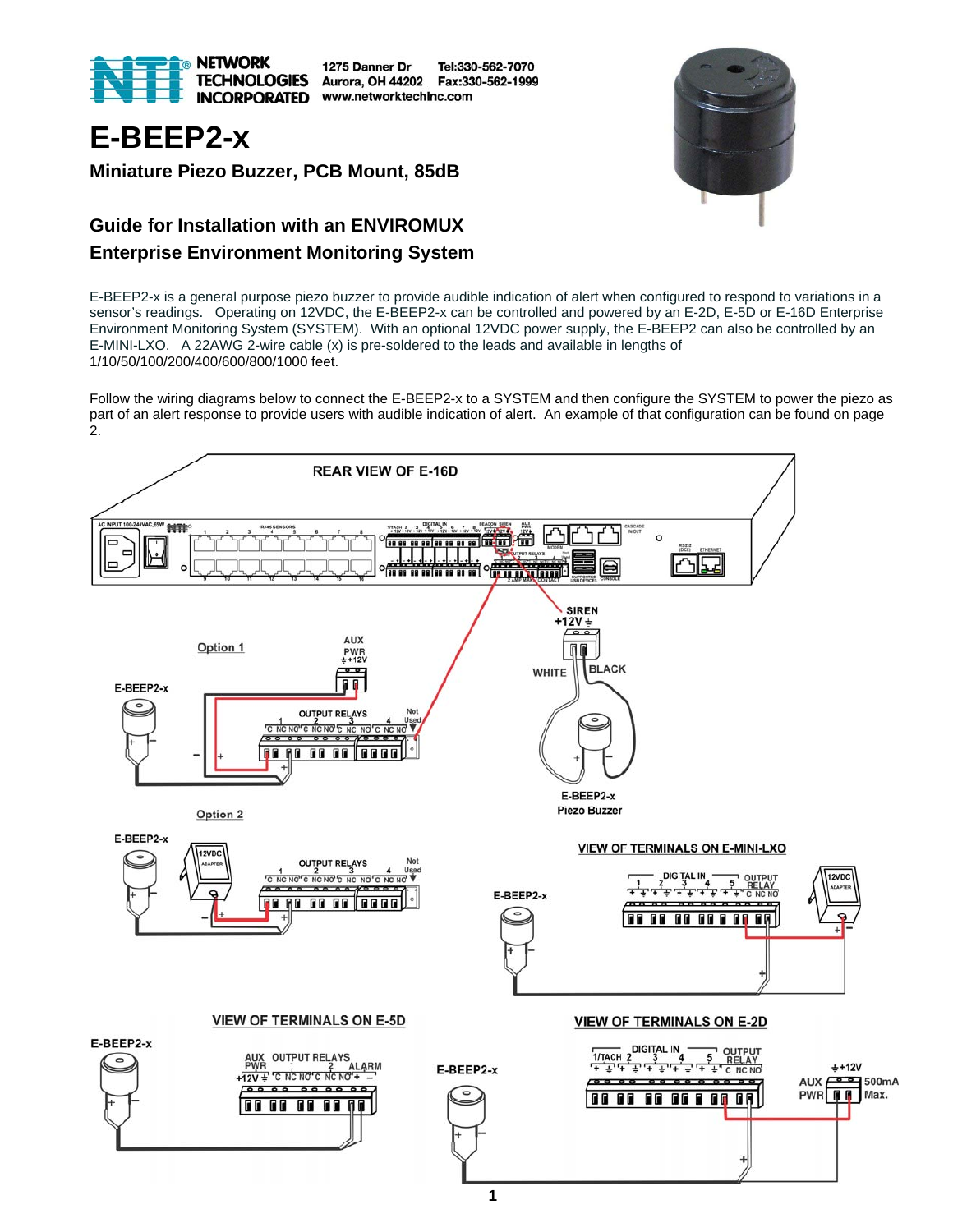

1275 Danner Dr Tel:330-562-7070 Aurora, OH 44202 Fax:330-562-1999 **INCORPORATED** www.networktechinc.com



# **E-BEEP2-x**

**Miniature Piezo Buzzer, PCB Mount, 85dB** 

### **Guide for Installation with an ENVIROMUX Enterprise Environment Monitoring System**

E-BEEP2-x is a general purpose piezo buzzer to provide audible indication of alert when configured to respond to variations in a sensor's readings. Operating on 12VDC, the E-BEEP2-x can be controlled and powered by an E-2D, E-5D or E-16D Enterprise Environment Monitoring System (SYSTEM). With an optional 12VDC power supply, the E-BEEP2 can also be controlled by an E-MINI-LXO. A 22AWG 2-wire cable (x) is pre-soldered to the leads and available in lengths of 1/10/50/100/200/400/600/800/1000 feet.

Follow the wiring diagrams below to connect the E-BEEP2-x to a SYSTEM and then configure the SYSTEM to power the piezo as part of an alert response to provide users with audible indication of alert. An example of that configuration can be found on page 2.

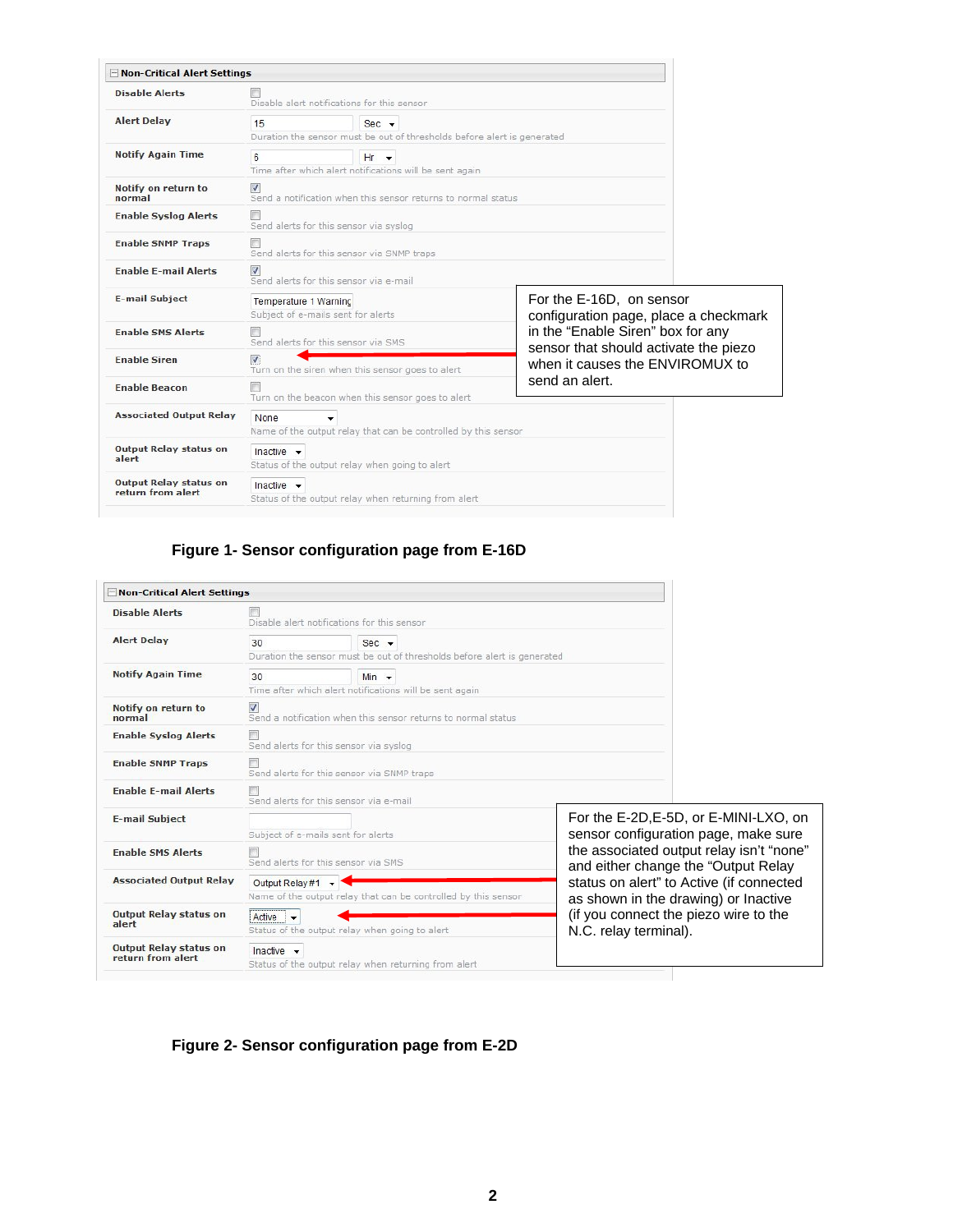| Non-Critical Alert Settings                        |                                                                                                                                                                                                                       |                                                                |  |                                                                   |  |
|----------------------------------------------------|-----------------------------------------------------------------------------------------------------------------------------------------------------------------------------------------------------------------------|----------------------------------------------------------------|--|-------------------------------------------------------------------|--|
| <b>Disable Alerts</b>                              | Disable alert notifications for this sensor                                                                                                                                                                           |                                                                |  |                                                                   |  |
| <b>Alert Delay</b>                                 | 15<br>Sec.<br>Duration the sensor must be out of thresholds before alert is generated                                                                                                                                 |                                                                |  |                                                                   |  |
| <b>Notify Again Time</b>                           | 6<br>$Hr - r$<br>Time after which alert notifications will be sent again                                                                                                                                              |                                                                |  |                                                                   |  |
| Notify on return to<br>normal                      | $\overline{v}$<br>Send a notification when this sensor returns to normal status                                                                                                                                       |                                                                |  |                                                                   |  |
| <b>Enable Syslog Alerts</b>                        | Send alerts for this sensor via syslog                                                                                                                                                                                |                                                                |  |                                                                   |  |
| <b>Enable SNMP Traps</b>                           | Send alerts for this sensor via SNMP traps                                                                                                                                                                            |                                                                |  |                                                                   |  |
| <b>Enable E-mail Alerts</b>                        | $\mathbf{v}$                                                                                                                                                                                                          | Send alerts for this sensor via e-mail                         |  |                                                                   |  |
| <b>E-mail Subject</b>                              | Temperature 1 Warning<br>Subject of e-mails sent for alerts                                                                                                                                                           |                                                                |  | For the E-16D, on sensor<br>configuration page, place a checkmark |  |
| <b>Enable SMS Alerts</b>                           |                                                                                                                                                                                                                       | Send alerts for this sensor via SMS                            |  | in the "Enable Siren" box for any                                 |  |
| <b>Enable Siren</b>                                | sensor that should activate the piezo<br>$\overline{J}$<br>when it causes the ENVIROMUX to<br>Turn on the siren when this sensor goes to alert<br>send an alert.<br>Turn on the beacon when this sensor goes to alert |                                                                |  |                                                                   |  |
| <b>Enable Beacon</b>                               |                                                                                                                                                                                                                       |                                                                |  |                                                                   |  |
| <b>Associated Output Relay</b>                     | None                                                                                                                                                                                                                  | Name of the output relay that can be controlled by this sensor |  |                                                                   |  |
| <b>Output Relay status on</b><br>alert             | Inactive $\rightarrow$<br>Status of the output relay when going to alert                                                                                                                                              |                                                                |  |                                                                   |  |
| <b>Output Relay status on</b><br>return from alert | Inactive $\rightarrow$<br>Status of the output relay when returning from alert                                                                                                                                        |                                                                |  |                                                                   |  |

#### **Figure 1- Sensor configuration page from E-16D**

| - Non-Critical Alert Settings                      |                                                                                                      |                                                                |                                                                                                                                                                                                                                                                                                                        |  |
|----------------------------------------------------|------------------------------------------------------------------------------------------------------|----------------------------------------------------------------|------------------------------------------------------------------------------------------------------------------------------------------------------------------------------------------------------------------------------------------------------------------------------------------------------------------------|--|
| <b>Disable Alerts</b>                              | Disable alert notifications for this sensor                                                          |                                                                |                                                                                                                                                                                                                                                                                                                        |  |
| <b>Alert Delay</b>                                 | 30<br>$Sec$ $\rightarrow$<br>Duration the sensor must be out of thresholds before alert is generated |                                                                |                                                                                                                                                                                                                                                                                                                        |  |
| <b>Notify Again Time</b>                           | 30<br>$Min$ $\rightarrow$<br>Time after which alert notifications will be sent again                 |                                                                |                                                                                                                                                                                                                                                                                                                        |  |
| Notify on return to<br>normal                      | ⊽<br>Send a notification when this sensor returns to normal status                                   |                                                                |                                                                                                                                                                                                                                                                                                                        |  |
| <b>Enable Syslog Alerts</b>                        | Send alerts for this sensor via syslog                                                               |                                                                |                                                                                                                                                                                                                                                                                                                        |  |
| <b>Enable SNMP Traps</b>                           | Send alerts for this sensor via SNMP traps                                                           |                                                                |                                                                                                                                                                                                                                                                                                                        |  |
| <b>Enable E-mail Alerts</b>                        | Send alerts for this sensor via e-mail                                                               |                                                                |                                                                                                                                                                                                                                                                                                                        |  |
| <b>E-mail Subject</b>                              | Subject of e-mails sent for alerts                                                                   |                                                                | For the E-2D, E-5D, or E-MINI-LXO, on<br>sensor configuration page, make sure<br>the associated output relay isn't "none"<br>and either change the "Output Relay<br>status on alert" to Active (if connected<br>as shown in the drawing) or Inactive<br>(if you connect the piezo wire to the<br>N.C. relay terminal). |  |
| <b>Enable SMS Alerts</b>                           | Send alerts for this sensor via SMS                                                                  |                                                                |                                                                                                                                                                                                                                                                                                                        |  |
| <b>Associated Output Relay</b>                     | Output Relay #1 -                                                                                    | Name of the output relay that can be controlled by this sensor |                                                                                                                                                                                                                                                                                                                        |  |
| <b>Output Relay status on</b><br>alert             | $Active +$                                                                                           | Status of the output relay when going to alert                 |                                                                                                                                                                                                                                                                                                                        |  |
| <b>Output Relay status on</b><br>return from alert | Inactive $\rightarrow$                                                                               | Status of the output relay when returning from alert           |                                                                                                                                                                                                                                                                                                                        |  |

#### **Figure 2- Sensor configuration page from E-2D**